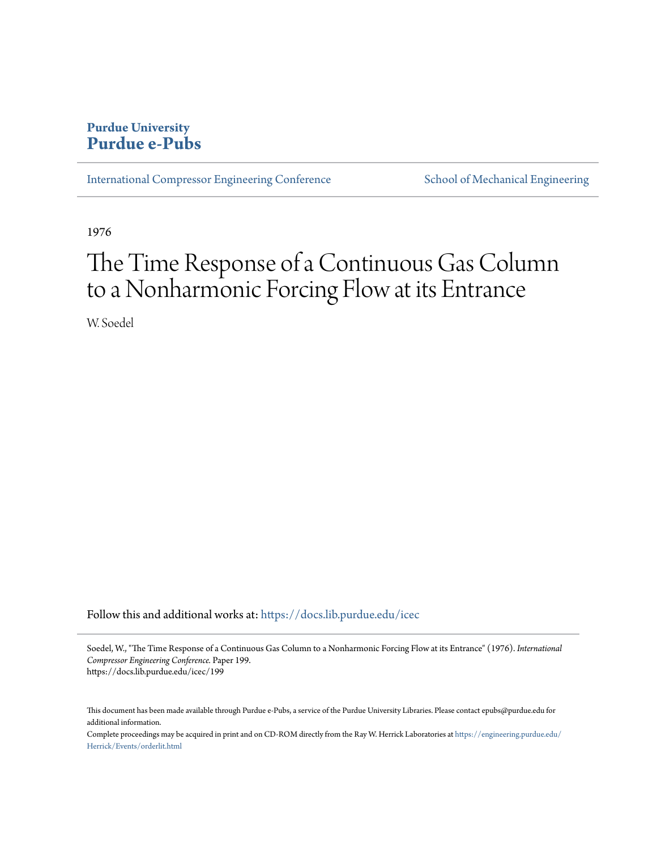## **Purdue University [Purdue e-Pubs](https://docs.lib.purdue.edu?utm_source=docs.lib.purdue.edu%2Ficec%2F199&utm_medium=PDF&utm_campaign=PDFCoverPages)**

[International Compressor Engineering Conference](https://docs.lib.purdue.edu/icec?utm_source=docs.lib.purdue.edu%2Ficec%2F199&utm_medium=PDF&utm_campaign=PDFCoverPages) [School of Mechanical Engineering](https://docs.lib.purdue.edu/me?utm_source=docs.lib.purdue.edu%2Ficec%2F199&utm_medium=PDF&utm_campaign=PDFCoverPages)

1976

# The Time Response of a Continuous Gas Column to a Nonharmonic Forcing Flow at its Entrance

W. Soedel

Follow this and additional works at: [https://docs.lib.purdue.edu/icec](https://docs.lib.purdue.edu/icec?utm_source=docs.lib.purdue.edu%2Ficec%2F199&utm_medium=PDF&utm_campaign=PDFCoverPages)

Soedel, W., "The Time Response of a Continuous Gas Column to a Nonharmonic Forcing Flow at its Entrance" (1976). *International Compressor Engineering Conference.* Paper 199. https://docs.lib.purdue.edu/icec/199

This document has been made available through Purdue e-Pubs, a service of the Purdue University Libraries. Please contact epubs@purdue.edu for additional information.

Complete proceedings may be acquired in print and on CD-ROM directly from the Ray W. Herrick Laboratories at [https://engineering.purdue.edu/](https://engineering.purdue.edu/Herrick/Events/orderlit.html) [Herrick/Events/orderlit.html](https://engineering.purdue.edu/Herrick/Events/orderlit.html)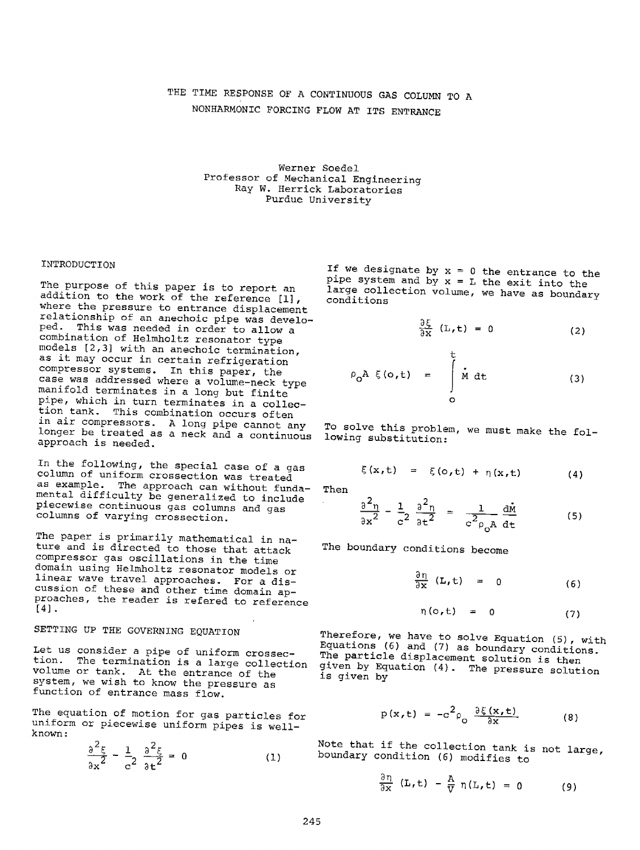## THE TIME RESPONSE OF A CONTINUOUS GAS COLUMN TO <sup>A</sup> NONHARMONIC FORCING FLOW AT ITS ENTRANCE

Werner Soedel Professor of Mechanical Engineering Ray W. Herrick Laboratories Purdue University

#### INTRODUCTION

The purpose of this paper is to report an addition to the work of the reference  $[1]$ , where the pressure to entrance displacement relationship of an anechoic pipe was developed. This was needed in order to allow <sup>a</sup> combination of Helmholtz resonator type models [2,3] with an anechoic termination, as it may occur in certain refrigeration compressor systems. In this paper, the case was addressed where a volume-neck type manifold terminates in a long but finite <sup>p</sup>ipe, which in turn terminates in a collection tank. This combination occurs often in air compressors. A long pipe cannot any longer be treated as a neck and a continuous approach is needed.

In the following, the special case of a gas column of uniform crossection was treated as example. The approach can without fundamental difficulty be generalized to include <sup>p</sup>iecewise continuous gas columns and gas columns of varying crossection.

The paper is primarily mathematical in nature and is directed to those that attack compressor gas oscillations in the time domain using Helmholtz resonator models or linear wave travel approaches. For a discussion of these and other time domain ap-proaches, the reader is refered to reference  $[4]$ .

## SETTING UP THE GOVERNING EQUATION

Let us consider a pipe of uniform crossection. The termination is a large collection volume or tank. At the entrance of the system, we wish to know the pressure as function of entrance mass flow.

The equation of motion for gas particles for uniform or piecewise uniform pipes is wellknown:

$$
\frac{\partial^2 \xi}{\partial x^2} - \frac{1}{c^2} \frac{\partial^2 \xi}{\partial t^2} = 0
$$
 (1)

If we designate by  $x = 0$  the entrance to the pipe system and  $b\bar{y}$  x = L the exit into the large collection volume, we have as boundary conditions

$$
\frac{\partial \xi}{\partial x} (L, t) = 0
$$
 (2)

$$
\rho_{0}A \xi(o,t) = \int_{o}^{t} \dot{M} dt
$$
 (3)

To solve this problem, we must make the following substitution:

$$
\xi(x,t) = \xi(o,t) + \eta(x,t) \qquad (4)
$$

Then

$$
\frac{\partial^2 \eta}{\partial x^2} - \frac{1}{c^2} \frac{\partial^2 \eta}{\partial t^2} = \frac{1}{c^2 \rho_0 A} \frac{d\dot{M}}{dt}
$$
 (5)

The boundary conditions become

$$
\frac{\partial \eta}{\partial x} (L, t) = 0 \qquad (6)
$$

$$
\eta(o,t) = 0 \tag{7}
$$

Therefore, we have to solve Equation (5), with Equations (6) and (7) as boundary conditions. The particle displacement solution is then <sup>g</sup>iven by Equation (4). The pressure solution is given by

$$
p(x,t) = -c^2 \rho_o \frac{\partial \xi(x,t)}{\partial x}
$$
 (8)

Note that if the collection tank is not large, boundary condition (6) modifies to

$$
\frac{\partial \pi}{\partial n} \left( \mathbf{L}, \mathbf{t} \right) - \frac{\pi}{N} \eta \left( \mathbf{L}, \mathbf{t} \right) = 0 \tag{9}
$$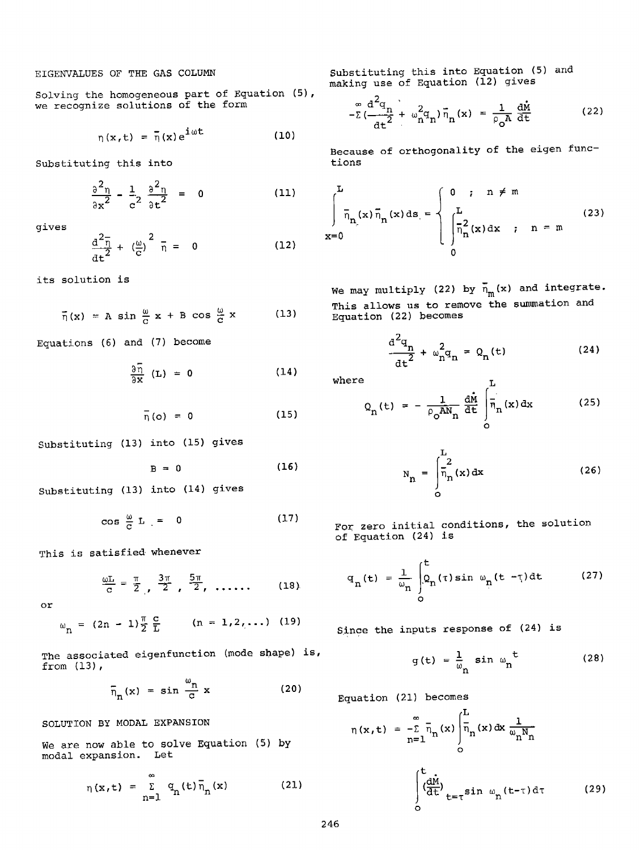## EIGENVALUES OF THE GAS COLUMN

Solving the homogeneous part of Equation (5), we recognize solutions of the form

 $\overline{a}$ 

$$
\eta(x,t) = \bar{\eta}(x) e^{i\omega t} \qquad (10)
$$

Substituting this into

$$
\frac{\partial^2 \eta}{\partial x^2} - \frac{1}{c^2} \frac{\partial^2 \eta}{\partial t^2} = 0
$$
 (11)

gives

$$
\frac{d^2 \bar{\eta}}{dt^2} + \left(\frac{\omega}{c}\right)^2 \bar{\eta} = 0
$$
 (12)

its solution is

$$
\overline{\eta}(x) = A \sin \frac{\omega}{c} x + B \cos \frac{\omega}{c} x \qquad (13)
$$

Equations (6) and (7) become

$$
\frac{\partial \bar{\eta}}{\partial x} (L) = 0
$$
 (14)

$$
\overline{\eta}(o) = 0 \tag{15}
$$

Substituting (13) into (15) gives

$$
B = 0 \tag{16}
$$

Substituting (13) into (14) gives

$$
\cos \frac{\omega}{c} \mathbf{L} = 0 \tag{17}
$$

This is satisfied whenever

$$
\frac{\omega L}{C} = \frac{\pi}{2}, \frac{3\pi}{2}, \frac{5\pi}{2}, \ldots
$$
 (18)

or

$$
\omega_{n} = (2n - 1)\frac{\pi}{2} \frac{c}{L} \qquad (n = 1, 2, ...)
$$
 (19)

The associated eigenfunction (mode shape) is, from (13),

$$
\bar{n}_n(x) = \sin \frac{\omega_n}{c} x
$$
 (20)

SOLUTION BY MODAL EXPANSION

We are now able to solve Equation (5) by modal expansion. Let

$$
\eta(x,t) = \sum_{n=1}^{\infty} q_n(t) \overline{n}_n(x) \qquad (21)
$$

Substituting this into Equation (5) and making use of Equation (12) gives

$$
-\Sigma \left(\frac{d^2q_n}{dt^2} + \omega_n^2 q_n\right) \overline{n}_n(x) = \frac{1}{\rho_0 A} \frac{d\dot{x}}{dt}
$$
 (22)

Because of orthogonality of the eigen functions

$$
\int_{x=0}^{L} \bar{n}_{n}(x) \bar{n}_{n}(x) ds = \begin{cases} 0 & ; & n \neq m \\ \int_{\bar{n}_{n}}^{L} (x) dx & ; & n = m \\ 0 & & \end{cases}
$$
 (23)

We may multiply (22) by  $\overline{n}_{m}(x)$  and integrate. This allows us to remove the summation and Equation (22) becomes

$$
\frac{d^2q_n}{dt^2} + \omega_n^2 q_n = Q_n(t)
$$
 (24)

where

$$
Q_{n}(t) = -\frac{1}{\rho_{0}AN_{n}}\frac{d\dot{M}}{dt}\int_{0}^{L} \overline{\eta}_{n}(x) dx
$$
 (25)

$$
N_{n} = \int_{0}^{L} \frac{2}{n_{n}}(x) dx
$$
 (26)

For zero initial conditions, the solution of Equation (24) is

$$
q_{n}(t) = \frac{1}{\omega_{n}} \int_{0}^{t} Q_{n}(\tau) \sin \omega_{n}(t - \tau) dt
$$
 (27)

Since the inputs response of (24) is

$$
g(t) = \frac{1}{\omega_n} \sin \omega_n^t
$$
 (28)

Equation (21) becomes

$$
\eta(x,t) = -\sum_{n=1}^{\infty} \overline{\eta}_n(x) \int_0^L \overline{\eta}_n(x) dx \frac{1}{\omega_n N_n}
$$

$$
\int_0^t \frac{d\dot{M}}{dt} \Big|_{t=\tau} \sin \omega_n(t-\tau) d\tau \qquad (29)
$$

246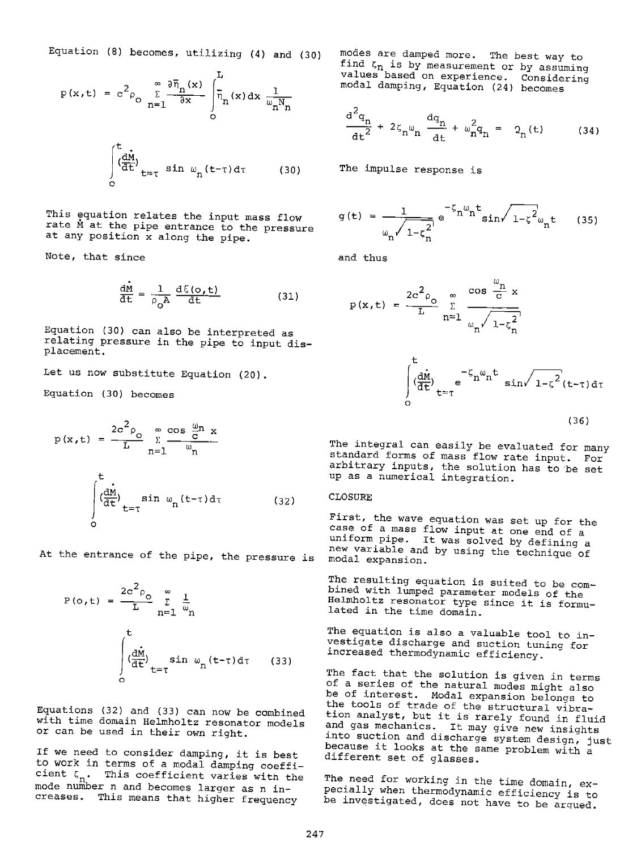Equation (8) becomes, utilizing (4) and (30)

$$
p(x,t) = c^2 \rho_0 \sum_{n=1}^{\infty} \frac{\partial \overline{\eta}_n(x)}{\partial x} \int_0^L \overline{\eta}_n(x) dx \frac{1}{\omega_n N_n}
$$

$$
\int_0^L \left(\frac{dM}{dt}\right)_{t=\tau} \sin \omega_n(t-\tau) d\tau
$$
(30)

This equation relates the input mass flow rate M at the pipe entrance to the pressure at any position x along the pipe.

Note, that since

$$
\frac{dM}{dt} = \frac{1}{\rho_0 A} \frac{d\xi(o, t)}{dt}
$$
 (31)

Equation (30) can also be interpreted as relating pressure in the pipe to input displacement.

Let us now substitute Equation (20).

Equation (30) becomes

$$
p(x, t) = \frac{2c^2 \rho_0}{L} \sum_{n=1}^{\infty} \frac{\cos \frac{\omega_n}{c} x}{\omega_n}
$$

$$
\int_{0}^{t} \left(\frac{dM}{dt}\right)_{t=\tau} \sin \omega_n (t-\tau) d\tau \qquad (32)
$$

At the entrance of the pipe, the pressure *is* 

$$
P(o, t) = \frac{2c^2 \rho_o}{L} \sum_{n=1}^{\infty} \frac{1}{\omega_n}
$$

$$
\int_0^t \left(\frac{d\dot{M}}{d\dot{t}}\right)_{t=\tau} \sin \omega_n (t-\tau) d\tau \qquad (33)
$$

Equations (32) and (33) can now be combined with time domain Helmholtz resonator models or can be used in their own right.

If we need to consider damping, it is best to work in terms of a modal damping coefficient  $\zeta_n$ . This coefficient varies with the mode number n and becomes larger as n increases. This means that higher frequency

modes are damped more. The best way to find  $\zeta_n$  is by measurement or by assuming values based on experience. Considering modal damping, Equation (24) becomes

$$
\frac{d^2q_n}{dt^2} + 2\zeta_n \omega_n \frac{dq_n}{dt} + \omega_n^2 q_n = 2_n(t)
$$
 (34)

The impulse response is

$$
g(t) = \frac{1}{\omega_n \sqrt{1-\zeta_n^2}} e^{-\zeta_n \omega_n t} \sin \sqrt{1-\zeta^2} \omega_n t
$$
 (35)

and thus

$$
p(x,t) = \frac{2c^2 \rho_0}{L} \sum_{n=1}^{\infty} \frac{\cos \frac{\omega_n}{C} x}{\omega_n \sqrt{1-\zeta_n^2}}
$$

$$
\int_0^t \left(\frac{dM}{dt}\right)_{t=\tau} e^{-\zeta_n \omega_n t} \sin \sqrt{1-\zeta^2(t-\tau)} d\tau
$$

$$
(36)
$$

The integral can easily be evaluated for many standard forms of mass flow rate input. For arbitrary inputs, the solution has to be set up as a numerical integration.

### CLOSURE

First, the wave equation was set up for the case of <sup>a</sup>mass flow input at one end of <sup>a</sup> uniform pipe. It was solved by defining <sup>a</sup> new variable and by using the technique of modal expansion.

The resulting equation is suited to be combined with lumped parameter models of the Helmholtz resonator type since it is formulated in the time domain.

The equation is also a valuable tool to investigate discharge and suction tuning for increased thermodynamic efficiency.

The fact that the solution is given in terms of a series of the natural modes might also be of interest. Modal expansion belongs to the tools of trade of the structural vibration analyst, but it *is* rarely found in fluid and gas mechanics. It may give new insights into suction and discharge system design, just because it looks at the same problem with <sup>a</sup> different set of glasses.

The need for working in the time domain, expecially when thermodynamic efficiency is to be investigated, does not have to be arqued.